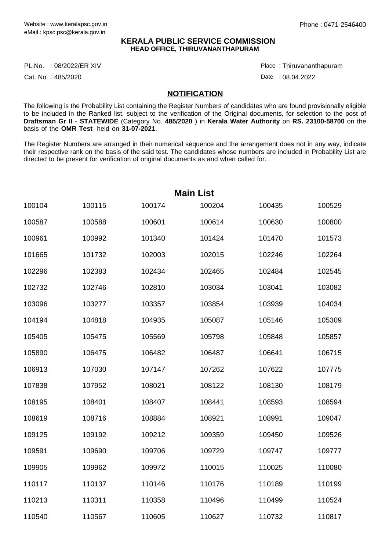### **KERALA PUBLIC SERVICE COMMISSION HEAD OFFICE, THIRUVANANTHAPURAM**

PL.No. :08/2022/ER XIV Place Product and the product of the Place Place

Cat. No.: 485/2020

Thiruvananthapuram :

Date : 08.04.2022

#### **NOTIFICATION**

The following is the Probability List containing the Register Numbers of candidates who are found provisionally eligible to be included in the Ranked list, subject to the verification of the Original documents, for selection to the post of **Draftsman Gr II** - **STATEWIDE** (Category No. **485/2020** ) in **Kerala Water Authority** on **RS. 23100-58700** on the basis of the **OMR Test** held on **31-07-2021**.

The Register Numbers are arranged in their numerical sequence and the arrangement does not in any way, indicate their respective rank on the basis of the said test. The candidates whose numbers are included in Probability List are directed to be present for verification of original documents as and when called for.

| <b>Main List</b> |        |        |        |        |        |  |
|------------------|--------|--------|--------|--------|--------|--|
| 100104           | 100115 | 100174 | 100204 | 100435 | 100529 |  |
| 100587           | 100588 | 100601 | 100614 | 100630 | 100800 |  |
| 100961           | 100992 | 101340 | 101424 | 101470 | 101573 |  |
| 101665           | 101732 | 102003 | 102015 | 102246 | 102264 |  |
| 102296           | 102383 | 102434 | 102465 | 102484 | 102545 |  |
| 102732           | 102746 | 102810 | 103034 | 103041 | 103082 |  |
| 103096           | 103277 | 103357 | 103854 | 103939 | 104034 |  |
| 104194           | 104818 | 104935 | 105087 | 105146 | 105309 |  |
| 105405           | 105475 | 105569 | 105798 | 105848 | 105857 |  |
| 105890           | 106475 | 106482 | 106487 | 106641 | 106715 |  |
| 106913           | 107030 | 107147 | 107262 | 107622 | 107775 |  |
| 107838           | 107952 | 108021 | 108122 | 108130 | 108179 |  |
| 108195           | 108401 | 108407 | 108441 | 108593 | 108594 |  |
| 108619           | 108716 | 108884 | 108921 | 108991 | 109047 |  |
| 109125           | 109192 | 109212 | 109359 | 109450 | 109526 |  |
| 109591           | 109690 | 109706 | 109729 | 109747 | 109777 |  |
| 109905           | 109962 | 109972 | 110015 | 110025 | 110080 |  |
| 110117           | 110137 | 110146 | 110176 | 110189 | 110199 |  |
| 110213           | 110311 | 110358 | 110496 | 110499 | 110524 |  |
| 110540           | 110567 | 110605 | 110627 | 110732 | 110817 |  |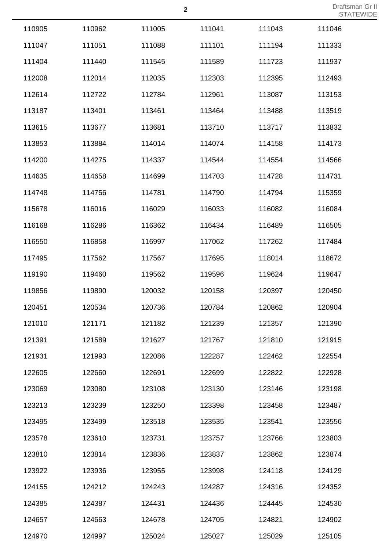| 110905 | 110962 | 111005 | 111041 | 111043 | 111046 |
|--------|--------|--------|--------|--------|--------|
| 111047 | 111051 | 111088 | 111101 | 111194 | 111333 |
| 111404 | 111440 | 111545 | 111589 | 111723 | 111937 |
| 112008 | 112014 | 112035 | 112303 | 112395 | 112493 |
| 112614 | 112722 | 112784 | 112961 | 113087 | 113153 |
| 113187 | 113401 | 113461 | 113464 | 113488 | 113519 |
| 113615 | 113677 | 113681 | 113710 | 113717 | 113832 |
| 113853 | 113884 | 114014 | 114074 | 114158 | 114173 |
| 114200 | 114275 | 114337 | 114544 | 114554 | 114566 |
| 114635 | 114658 | 114699 | 114703 | 114728 | 114731 |
| 114748 | 114756 | 114781 | 114790 | 114794 | 115359 |
| 115678 | 116016 | 116029 | 116033 | 116082 | 116084 |
| 116168 | 116286 | 116362 | 116434 | 116489 | 116505 |
| 116550 | 116858 | 116997 | 117062 | 117262 | 117484 |
| 117495 | 117562 | 117567 | 117695 | 118014 | 118672 |
| 119190 | 119460 | 119562 | 119596 | 119624 | 119647 |
| 119856 | 119890 | 120032 | 120158 | 120397 | 120450 |
| 120451 | 120534 | 120736 | 120784 | 120862 | 120904 |
| 121010 | 121171 | 121182 | 121239 | 121357 | 121390 |
| 121391 | 121589 | 121627 | 121767 | 121810 | 121915 |
| 121931 | 121993 | 122086 | 122287 | 122462 | 122554 |
| 122605 | 122660 | 122691 | 122699 | 122822 | 122928 |
| 123069 | 123080 | 123108 | 123130 | 123146 | 123198 |
| 123213 | 123239 | 123250 | 123398 | 123458 | 123487 |
| 123495 | 123499 | 123518 | 123535 | 123541 | 123556 |
| 123578 | 123610 | 123731 | 123757 | 123766 | 123803 |
| 123810 | 123814 | 123836 | 123837 | 123862 | 123874 |
| 123922 | 123936 | 123955 | 123998 | 124118 | 124129 |
| 124155 | 124212 | 124243 | 124287 | 124316 | 124352 |
| 124385 | 124387 | 124431 | 124436 | 124445 | 124530 |
| 124657 | 124663 | 124678 | 124705 | 124821 | 124902 |
| 124970 | 124997 | 125024 | 125027 | 125029 | 125105 |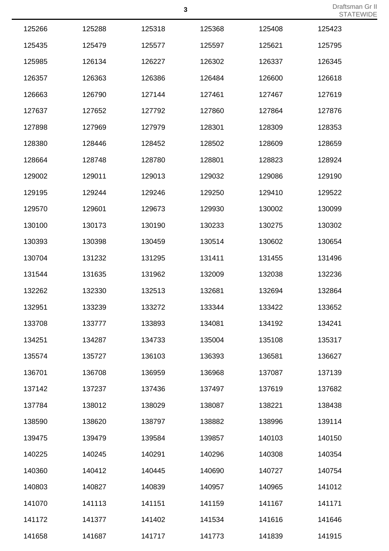|        |        |        |        |        | $\cup$ |
|--------|--------|--------|--------|--------|--------|
| 125266 | 125288 | 125318 | 125368 | 125408 | 125423 |
| 125435 | 125479 | 125577 | 125597 | 125621 | 125795 |
| 125985 | 126134 | 126227 | 126302 | 126337 | 126345 |
| 126357 | 126363 | 126386 | 126484 | 126600 | 126618 |
| 126663 | 126790 | 127144 | 127461 | 127467 | 127619 |
| 127637 | 127652 | 127792 | 127860 | 127864 | 127876 |
| 127898 | 127969 | 127979 | 128301 | 128309 | 128353 |
| 128380 | 128446 | 128452 | 128502 | 128609 | 128659 |
| 128664 | 128748 | 128780 | 128801 | 128823 | 128924 |
| 129002 | 129011 | 129013 | 129032 | 129086 | 129190 |
| 129195 | 129244 | 129246 | 129250 | 129410 | 129522 |
| 129570 | 129601 | 129673 | 129930 | 130002 | 130099 |
| 130100 | 130173 | 130190 | 130233 | 130275 | 130302 |
| 130393 | 130398 | 130459 | 130514 | 130602 | 130654 |
| 130704 | 131232 | 131295 | 131411 | 131455 | 131496 |
| 131544 | 131635 | 131962 | 132009 | 132038 | 132236 |
| 132262 | 132330 | 132513 | 132681 | 132694 | 132864 |
| 132951 | 133239 | 133272 | 133344 | 133422 | 133652 |
| 133708 | 133777 | 133893 | 134081 | 134192 | 134241 |
| 134251 | 134287 | 134733 | 135004 | 135108 | 135317 |
| 135574 | 135727 | 136103 | 136393 | 136581 | 136627 |
| 136701 | 136708 | 136959 | 136968 | 137087 | 137139 |
| 137142 | 137237 | 137436 | 137497 | 137619 | 137682 |
| 137784 | 138012 | 138029 | 138087 | 138221 | 138438 |
| 138590 | 138620 | 138797 | 138882 | 138996 | 139114 |
| 139475 | 139479 | 139584 | 139857 | 140103 | 140150 |
| 140225 | 140245 | 140291 | 140296 | 140308 | 140354 |
| 140360 | 140412 | 140445 | 140690 | 140727 | 140754 |
| 140803 | 140827 | 140839 | 140957 | 140965 | 141012 |
| 141070 | 141113 | 141151 | 141159 | 141167 | 141171 |
| 141172 | 141377 | 141402 | 141534 | 141616 | 141646 |
| 141658 | 141687 | 141717 | 141773 | 141839 | 141915 |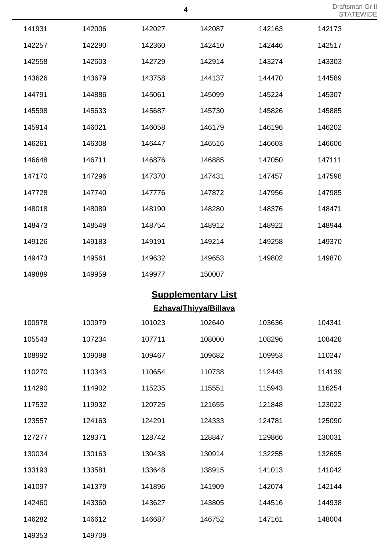| 141931 | 142006 | 142027 | 142087 | 142163 | 142173 |
|--------|--------|--------|--------|--------|--------|
| 142257 | 142290 | 142360 | 142410 | 142446 | 142517 |
| 142558 | 142603 | 142729 | 142914 | 143274 | 143303 |
| 143626 | 143679 | 143758 | 144137 | 144470 | 144589 |
| 144791 | 144886 | 145061 | 145099 | 145224 | 145307 |
| 145598 | 145633 | 145687 | 145730 | 145826 | 145885 |
| 145914 | 146021 | 146058 | 146179 | 146196 | 146202 |
| 146261 | 146308 | 146447 | 146516 | 146603 | 146606 |
| 146648 | 146711 | 146876 | 146885 | 147050 | 147111 |
| 147170 | 147296 | 147370 | 147431 | 147457 | 147598 |
| 147728 | 147740 | 147776 | 147872 | 147956 | 147985 |
| 148018 | 148089 | 148190 | 148280 | 148376 | 148471 |
| 148473 | 148549 | 148754 | 148912 | 148922 | 148944 |
| 149126 | 149183 | 149191 | 149214 | 149258 | 149370 |
| 149473 | 149561 | 149632 | 149653 | 149802 | 149870 |
| 149889 | 149959 | 149977 | 150007 |        |        |

# **Supplementary List**

**Ezhava/Thiyya/Billava**

| 100978 | 100979 | 101023 | 102640 | 103636 | 104341 |
|--------|--------|--------|--------|--------|--------|
| 105543 | 107234 | 107711 | 108000 | 108296 | 108428 |
| 108992 | 109098 | 109467 | 109682 | 109953 | 110247 |
| 110270 | 110343 | 110654 | 110738 | 112443 | 114139 |
| 114290 | 114902 | 115235 | 115551 | 115943 | 116254 |
| 117532 | 119932 | 120725 | 121655 | 121848 | 123022 |
| 123557 | 124163 | 124291 | 124333 | 124781 | 125090 |
| 127277 | 128371 | 128742 | 128847 | 129866 | 130031 |
| 130034 | 130163 | 130438 | 130914 | 132255 | 132695 |
| 133193 | 133581 | 133648 | 138915 | 141013 | 141042 |
| 141097 | 141379 | 141896 | 141909 | 142074 | 142144 |
| 142460 | 143360 | 143627 | 143805 | 144516 | 144938 |
| 146282 | 146612 | 146687 | 146752 | 147161 | 148004 |
| 149353 | 149709 |        |        |        |        |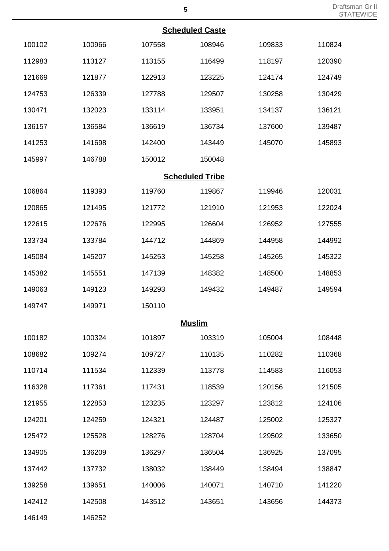|        |        |        | <b>Scheduled Caste</b> |        |        |
|--------|--------|--------|------------------------|--------|--------|
| 100102 | 100966 | 107558 | 108946                 | 109833 | 110824 |
| 112983 | 113127 | 113155 | 116499                 | 118197 | 120390 |
| 121669 | 121877 | 122913 | 123225                 | 124174 | 124749 |
| 124753 | 126339 | 127788 | 129507                 | 130258 | 130429 |
| 130471 | 132023 | 133114 | 133951                 | 134137 | 136121 |
| 136157 | 136584 | 136619 | 136734                 | 137600 | 139487 |
| 141253 | 141698 | 142400 | 143449                 | 145070 | 145893 |
| 145997 | 146788 | 150012 | 150048                 |        |        |
|        |        |        | <b>Scheduled Tribe</b> |        |        |
| 106864 | 119393 | 119760 | 119867                 | 119946 | 120031 |
| 120865 | 121495 | 121772 | 121910                 | 121953 | 122024 |
| 122615 | 122676 | 122995 | 126604                 | 126952 | 127555 |
| 133734 | 133784 | 144712 | 144869                 | 144958 | 144992 |
| 145084 | 145207 | 145253 | 145258                 | 145265 | 145322 |
| 145382 | 145551 | 147139 | 148382                 | 148500 | 148853 |
| 149063 | 149123 | 149293 | 149432                 | 149487 | 149594 |
| 149747 | 149971 | 150110 |                        |        |        |
|        |        |        | <b>Muslim</b>          |        |        |
| 100182 | 100324 | 101897 | 103319                 | 105004 | 108448 |
| 108682 | 109274 | 109727 | 110135                 | 110282 | 110368 |
| 110714 | 111534 | 112339 | 113778                 | 114583 | 116053 |
| 116328 | 117361 | 117431 | 118539                 | 120156 | 121505 |
| 121955 | 122853 | 123235 | 123297                 | 123812 | 124106 |
| 124201 | 124259 | 124321 | 124487                 | 125002 | 125327 |
| 125472 | 125528 | 128276 | 128704                 | 129502 | 133650 |
| 134905 | 136209 | 136297 | 136504                 | 136925 | 137095 |
| 137442 | 137732 | 138032 | 138449                 | 138494 | 138847 |
| 139258 | 139651 | 140006 | 140071                 | 140710 | 141220 |
| 142412 | 142508 | 143512 | 143651                 | 143656 | 144373 |

146252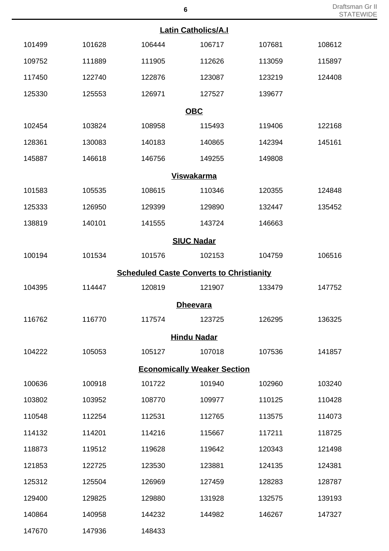| <b>Latin Catholics/A.I</b> |        |                                                 |        |        |        |  |
|----------------------------|--------|-------------------------------------------------|--------|--------|--------|--|
| 101499                     | 101628 | 106444                                          | 106717 | 107681 | 108612 |  |
| 109752                     | 111889 | 111905                                          | 112626 | 113059 | 115897 |  |
| 117450                     | 122740 | 122876                                          | 123087 | 123219 | 124408 |  |
| 125330                     | 125553 | 126971                                          | 127527 | 139677 |        |  |
|                            |        | <b>OBC</b>                                      |        |        |        |  |
| 102454                     | 103824 | 108958                                          | 115493 | 119406 | 122168 |  |
| 128361                     | 130083 | 140183                                          | 140865 | 142394 | 145161 |  |
| 145887                     | 146618 | 146756                                          | 149255 | 149808 |        |  |
|                            |        | <b>Viswakarma</b>                               |        |        |        |  |
| 101583                     | 105535 | 108615                                          | 110346 | 120355 | 124848 |  |
| 125333                     | 126950 | 129399                                          | 129890 | 132447 | 135452 |  |
| 138819                     | 140101 | 141555                                          | 143724 | 146663 |        |  |
|                            |        | <b>SIUC Nadar</b>                               |        |        |        |  |
| 100194                     | 101534 | 101576                                          | 102153 | 104759 | 106516 |  |
|                            |        | <b>Scheduled Caste Converts to Christianity</b> |        |        |        |  |
| 104395                     | 114447 | 120819                                          | 121907 | 133479 | 147752 |  |
|                            |        | <b>Dheevara</b>                                 |        |        |        |  |
| 116762                     | 116770 | 117574                                          | 123725 | 126295 | 136325 |  |
|                            |        | <b>Hindu Nadar</b>                              |        |        |        |  |
| 104222                     | 105053 | 105127                                          | 107018 | 107536 | 141857 |  |
|                            |        | <b>Economically Weaker Section</b>              |        |        |        |  |
| 100636                     | 100918 | 101722                                          | 101940 | 102960 | 103240 |  |
| 103802                     | 103952 | 108770                                          | 109977 | 110125 | 110428 |  |
| 110548                     | 112254 | 112531                                          | 112765 | 113575 | 114073 |  |
| 114132                     | 114201 | 114216                                          | 115667 | 117211 | 118725 |  |
| 118873                     | 119512 | 119628                                          | 119642 | 120343 | 121498 |  |
| 121853                     | 122725 | 123530                                          | 123881 | 124135 | 124381 |  |
| 125312                     | 125504 | 126969                                          | 127459 | 128283 | 128787 |  |
| 129400                     | 129825 | 129880                                          | 131928 | 132575 | 139193 |  |
| 140864                     | 140958 | 144232                                          | 144982 | 146267 | 147327 |  |

147936 148433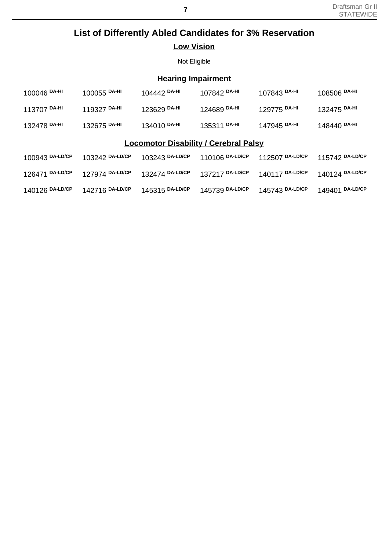## **List of Differently Abled Candidates for 3% Reservation Low Vision**

Not Eligible

## **Hearing Impairment**

| 100046 DA-HI                                 | 100055 DA-HI    | 104442 DA-HI    | 107842 DA-HI    | 107843 DA-HI    | 108506 DA-HI    |  |
|----------------------------------------------|-----------------|-----------------|-----------------|-----------------|-----------------|--|
| 113707 DA-HI                                 | 119327 DA-HI    | 123629 DA-HI    | 124689 DA-HI    | 129775 DA-HI    | 132475 DA-HI    |  |
| 132478 DA-HI                                 | 132675 DA-HI    | 134010 DA-HI    | 135311 DA-HI    | 147945 DA-HI    | 148440 DA-HI    |  |
| <b>Locomotor Disability / Cerebral Palsy</b> |                 |                 |                 |                 |                 |  |
| 100943 DA-LD/CP                              | 103242 DA-LD/CP | 103243 DA-LD/CP | 110106 DA-LD/CP | 112507 DA-LD/CP | 115742 DA-LD/CP |  |
| 126471 DA-LD/CP                              | 127974 DA-LD/CP | 132474 DA-LD/CP | 137217 DA-LD/CP | 140117 DA-LD/CP | 140124 DA-LD/CP |  |
| 140126 DA-LD/CP                              | 142716 DA-LD/CP | 145315 DA-LD/CP | 145739 DA-LD/CP | 145743 DA-LD/CP | 149401 DA-LD/CP |  |